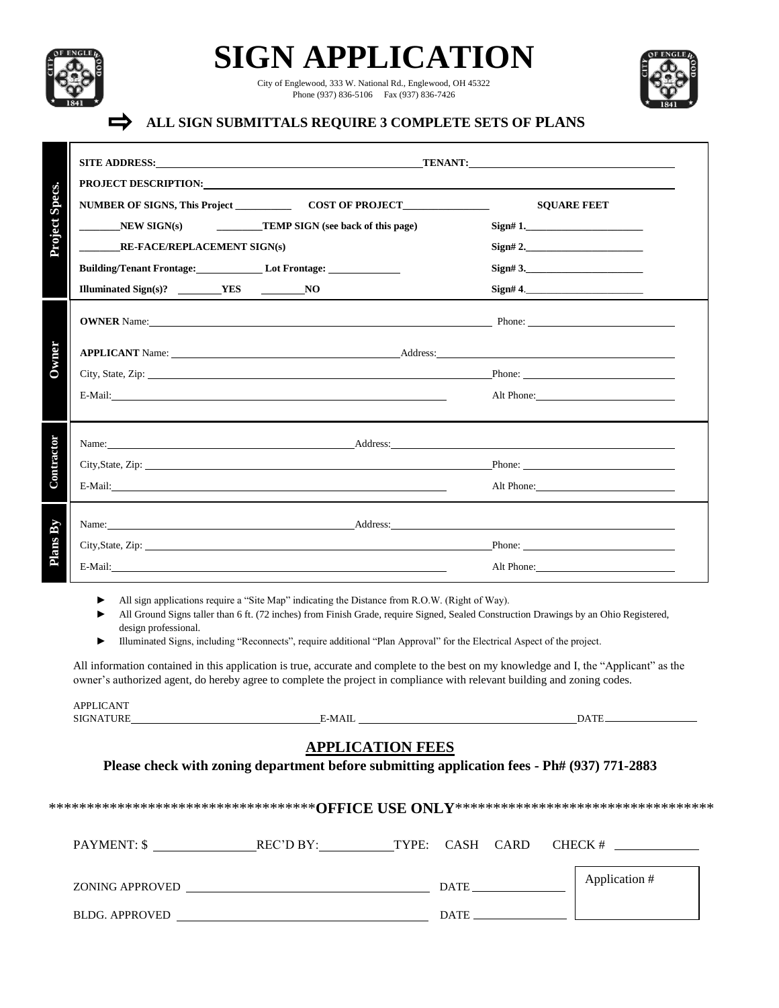

 $\Rightarrow$ 

**SIGN APPLICATION**

City of Englewood, 333 W. National Rd., Englewood, OH 45322 Phone (937) 836-5106 Fax (937) 836-7426



## **ALL SIGN SUBMITTALS REQUIRE 3 COMPLETE SETS OF PLANS**

|                                                   | PROJECT DESCRIPTION: University of the contract of the contract of the contract of the contract of the contract of the contract of the contract of the contract of the contract of the contract of the contract of the contrac |                                                                                                                                                                                                                                          |  |  |
|---------------------------------------------------|--------------------------------------------------------------------------------------------------------------------------------------------------------------------------------------------------------------------------------|------------------------------------------------------------------------------------------------------------------------------------------------------------------------------------------------------------------------------------------|--|--|
|                                                   |                                                                                                                                                                                                                                | <b>SQUARE FEET</b>                                                                                                                                                                                                                       |  |  |
|                                                   | $NEW SIGN(s)$ TEMP SIGN (see back of this page)                                                                                                                                                                                |                                                                                                                                                                                                                                          |  |  |
| <b>RE-FACE/REPLACEMENT SIGN(s)</b>                |                                                                                                                                                                                                                                | Sign# 2.                                                                                                                                                                                                                                 |  |  |
|                                                   |                                                                                                                                                                                                                                | $Sign#3$ .                                                                                                                                                                                                                               |  |  |
| Illuminated Sign(s)? ________YES ______________NO |                                                                                                                                                                                                                                | Sign# 4.                                                                                                                                                                                                                                 |  |  |
|                                                   |                                                                                                                                                                                                                                | <b>OWNER</b> Name: <u>Name:</u> Phone: 2004 Phone: 2004 Phone: 2004 Phone: 2004 Phone: 2004 Phone: 2004 Phone: 2004 Phone: 2004 Phone: 2004 Phone: 2004 Phone: 2004 Phone: 2004 Phone: 2004 Phone: 2004 Phone: 2004 Phone: 2004 Phone: 2 |  |  |
|                                                   |                                                                                                                                                                                                                                |                                                                                                                                                                                                                                          |  |  |
|                                                   |                                                                                                                                                                                                                                | City, State, Zip: <u>New York: New York: New York: New York: New York: New York: New York: New York: New York: New York: New York: New York: New York: New York: New York: New York: New York: New York: New York: New York: New</u>     |  |  |
|                                                   |                                                                                                                                                                                                                                | Alt Phone: 2008 and 2008 and 2008 and 2008 and 2008 and 2008 and 2008 and 2008 and 2008 and 2008 and 2008 and 2008 and 2008 and 2008 and 2008 and 2008 and 2008 and 2008 and 2008 and 2008 and 2008 and 2008 and 2008 and 2008           |  |  |
|                                                   |                                                                                                                                                                                                                                | Name: <u>Address:</u> Address: Address: Address: Address: Address: Address: Address: Address: Address: Address: Address: Address: Address: Address: Address: Address: Address: Address: Address: Address: Address: Address: Address      |  |  |
|                                                   |                                                                                                                                                                                                                                | City, State, Zip: <u>Phone:</u> Phone: Phone: Phone: Phone: Phone: Phone: Phone: Phone: Phone: Phone: Phone: Phone: Phone: Phone: Phone: Phone: Phone: Phone: Phone: Phone: Phone: Phone: Phone: Phone: Phone: Phone: Phone: Phone:      |  |  |
|                                                   | E-Mail: and the contract of the contract of the contract of the contract of the contract of the contract of the contract of the contract of the contract of the contract of the contract of the contract of the contract of th | Alt Phone:                                                                                                                                                                                                                               |  |  |
|                                                   |                                                                                                                                                                                                                                | Name: <u>Address:</u> Address: Address: Address: Address: Address: Address: Address: Address: Address: Address: Address: Address: Address: Address: Address: Address: Address: Address: Address: Address: Address: Address: Address      |  |  |
|                                                   |                                                                                                                                                                                                                                | City, State, Zip: <u>New York: Phone:</u> Phone: <u>Phone:</u> Phone: 2007                                                                                                                                                               |  |  |
|                                                   |                                                                                                                                                                                                                                | Alt Phone: 2008 and 2008 and 2008 and 2008 and 2008 and 2008 and 2008 and 2008 and 2008 and 2008 and 2008 and 2008 and 2008 and 2008 and 2008 and 2008 and 2008 and 2008 and 2008 and 2008 and 2008 and 2008 and 2008 and 2008           |  |  |

► All sign applications require a "Site Map" indicating the Distance from R.O.W. (Right of Way).

► All Ground Signs taller than 6 ft. (72 inches) from Finish Grade, require Signed, Sealed Construction Drawings by an Ohio Registered, design professional.

► Illuminated Signs, including "Reconnects", require additional "Plan Approval" for the Electrical Aspect of the project.

All information contained in this application is true, accurate and complete to the best on my knowledge and I, the "Applicant" as the owner's authorized agent, do hereby agree to complete the project in compliance with relevant building and zoning codes.

| <b>NANTH</b><br><b>DDI</b><br>$\mathbf{r}$<br>A.F |                     |
|---------------------------------------------------|---------------------|
| : 17<br>KE<br>$-1$                                | $\overline{1}$<br>. |
|                                                   |                     |

## **APPLICATION FEES**

| Please check with zoning department before submitting application fees - Ph# (937) 771-2883 |  |
|---------------------------------------------------------------------------------------------|--|
|                                                                                             |  |

\*\*\*\*\*\*\*\*\*\*\*\*\*\*\*\*\*\*\*\*\*\*\*\*\*\*\*\*\*\*\*\*\*\*\***OFFICE USE ONLY**\*\*\*\*\*\*\*\*\*\*\*\*\*\*\*\*\*\*\*\*\*\*\*\*\*\*\*\*\*\*\*\*\*\*

| <b>PAYMENT: \$</b>    | REC'D BY: | TYPE: CASH CARD | CHECK #       |
|-----------------------|-----------|-----------------|---------------|
| ZONING APPROVED       |           | DATE            | Application # |
| <b>BLDG. APPROVED</b> |           | DATE            |               |